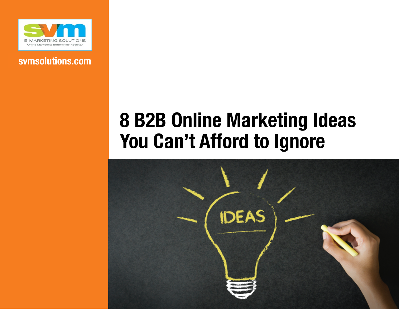

### **svmsolutions.com**

# **8 B2B Online Marketing Ideas You Can't Afford to Ignore**

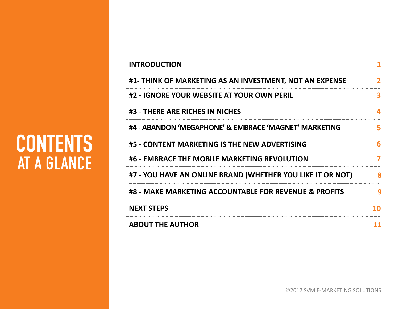### **INTRODUCTION 1 #1- THINK OF MARKETING AS AN INVESTMENT, NOT AN EXPENSE #2 - IGNORE YOUR WEBSITE AT YOUR OWN PERIL #3 - THERE ARE RICHES IN NICHES #4 - ABANDON 'MEGAPHONE' & EMBRACE 'MAGNET' MARKETING 5 #5 - CONTENT MARKETING IS THE NEW ADVERTISING 6 #6 - EMBRACE THE MOBILE MARKETING REVOLUTION 7 #8 - MAKE MARKETING ACCOUNTABLE FOR REVENUE & PROFITS 9 NEXT STEPS 10 ABOUT THE AUTHOR 11 #7 - YOU HAVE AN ONLINE BRAND (WHETHER YOU LIKE IT OR NOT) 8**

# **CONTENTS AT A GLANCE**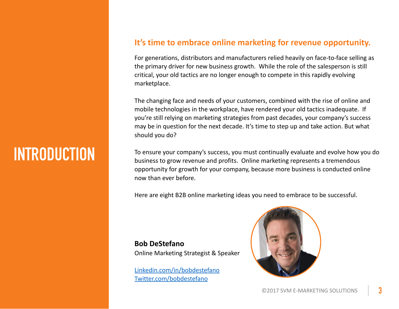## **INTRODUCTION**

#### It's time to embrace online marketing for revenue opportunity.

For generations, distributors and manufacturers relied heavily on face-to-face selling as the primary driver for new business growth. While the role of the salesperson is still critical, your old tactics are no longer enough to compete in this rapidly evolving marketplace. 

The changing face and needs of your customers, combined with the rise of online and mobile technologies in the workplace, have rendered your old tactics inadequate. If you're still relying on marketing strategies from past decades, your company's success may be in question for the next decade. It's time to step up and take action. But what should you do?

To ensure your company's success, you must continually evaluate and evolve how you do business to grow revenue and profits. Online marketing represents a tremendous opportunity for growth for your company, because more business is conducted online now than ever before.

Here are eight B2B online marketing ideas you need to embrace to be successful.

#### **Bob DeStefano**  Online Marketing Strategist & Speaker

Linkedin.com/in/bobdestefano Twitter.com/bobdestefano

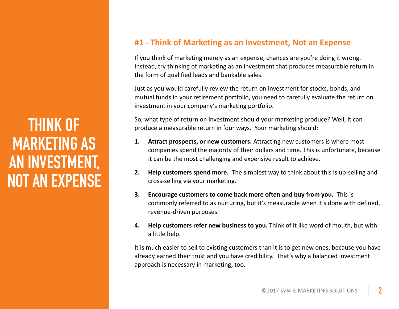### **THINK OF MARKETING AS AN INVESTMENT, NOT AN EXPENSE**

### **#1 - Think of Marketing as an Investment, Not an Expense**

If you think of marketing merely as an expense, chances are you're doing it wrong. Instead, try thinking of marketing as an investment that produces measurable return in the form of qualified leads and bankable sales.

Just as you would carefully review the return on investment for stocks, bonds, and mutual funds in your retirement portfolio, you need to carefully evaluate the return on investment in your company's marketing portfolio.

So, what type of return on investment should your marketing produce? Well, it can produce a measurable return in four ways. Your marketing should:

- **1.** Attract prospects, or new customers. Attracting new customers is where most companies spend the majority of their dollars and time. This is unfortunate, because it can be the most challenging and expensive result to achieve.
- **2. Help customers spend more.** The simplest way to think about this is up-selling and cross-selling via your marketing.
- **3.** Encourage customers to come back more often and buy from you. This is commonly referred to as nurturing, but it's measurable when it's done with defined, revenue-driven purposes.
- **4. Help customers refer new business to you.** Think of it like word of mouth, but with a little help.

It is much easier to sell to existing customers than it is to get new ones, because you have already earned their trust and you have credibility. That's why a balanced investment approach is necessary in marketing, too.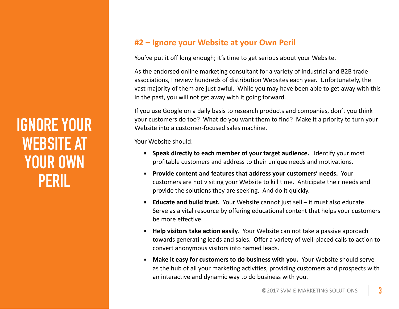### **IGNORE YOUR WEBSITE AT YOUR OWN PERIL**

### #2 – Ignore your Website at your Own Peril

You've put it off long enough; it's time to get serious about your Website.

As the endorsed online marketing consultant for a variety of industrial and B2B trade associations, I review hundreds of distribution Websites each year. Unfortunately, the vast majority of them are just awful. While you may have been able to get away with this in the past, you will not get away with it going forward.

If you use Google on a daily basis to research products and companies, don't you think your customers do too? What do you want them to find? Make it a priority to turn your Website into a customer-focused sales machine.

Your Website should:

- **EXEDER Speak directly to each member of your target audience.** Identify your most profitable customers and address to their unique needs and motivations.
- **EXECTE:** Provide content and features that address your customers' needs. Your customers are not visiting your Website to kill time. Anticipate their needs and provide the solutions they are seeking. And do it quickly.
- **Educate and build trust.** Your Website cannot just sell it must also educate. Serve as a vital resource by offering educational content that helps your customers be more effective.
- **EXELP Help visitors take action easily**. Your Website can not take a passive approach towards generating leads and sales. Offer a variety of well-placed calls to action to convert anonymous visitors into named leads.
- **EXECT:** Make it easy for customers to do business with you. Your Website should serve as the hub of all your marketing activities, providing customers and prospects with an interactive and dynamic way to do business with you.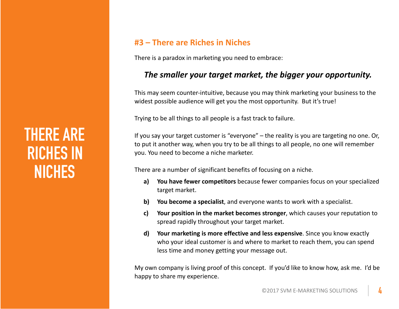## **THERE ARE RICHES IN NICHES**

### **#3 – There are Riches in Niches**

There is a paradox in marketing you need to embrace:

#### The smaller your target market, the bigger your opportunity.

This may seem counter-intuitive, because you may think marketing your business to the widest possible audience will get you the most opportunity. But it's true!

Trying to be all things to all people is a fast track to failure.

If you say your target customer is "everyone"  $-$  the reality is you are targeting no one. Or, to put it another way, when you try to be all things to all people, no one will remember you. You need to become a niche marketer.

There are a number of significant benefits of focusing on a niche.

- a) You have fewer competitors because fewer companies focus on your specialized target market.
- **b)** You become a specialist, and everyone wants to work with a specialist.
- **c)** Your position in the market becomes stronger, which causes your reputation to spread rapidly throughout your target market.
- **d)** Your marketing is more effective and less expensive. Since you know exactly who your ideal customer is and where to market to reach them, you can spend less time and money getting your message out.

My own company is living proof of this concept. If you'd like to know how, ask me. I'd be happy to share my experience.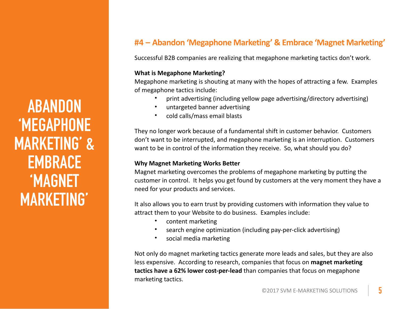**ABANDON 'MEGAPHONE MARKETING' & EMBRACE 'MAGNET MARKETING'**

### **#4 – Abandon 'Megaphone Marketing' & Embrace 'Magnet Marketing'**

Successful B2B companies are realizing that megaphone marketing tactics don't work.

#### **What is Megaphone Marketing?**

Megaphone marketing is shouting at many with the hopes of attracting a few. Examples of megaphone tactics include:

- print advertising (including yellow page advertising/directory advertising)
- untargeted banner advertising
- cold calls/mass email blasts

They no longer work because of a fundamental shift in customer behavior. Customers don't want to be interrupted, and megaphone marketing is an interruption. Customers want to be in control of the information they receive. So, what should you do?

#### **Why Magnet Marketing Works Better**

Magnet marketing overcomes the problems of megaphone marketing by putting the customer in control. It helps you get found by customers at the very moment they have a need for your products and services.

It also allows you to earn trust by providing customers with information they value to attract them to your Website to do business. Examples include:

- content marketing
- search engine optimization (including pay-per-click advertising)
- social media marketing

Not only do magnet marketing tactics generate more leads and sales, but they are also less expensive. According to research, companies that focus on **magnet marketing tactics have a 62% lower cost-per-lead** than companies that focus on megaphone marketing tactics.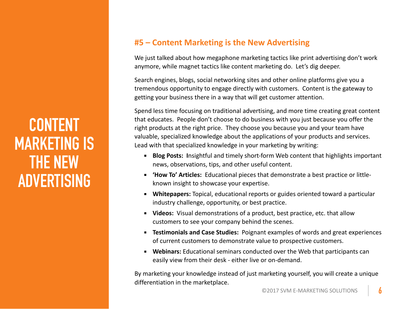### **CONTENT MARKETING IS THE NEW ADVERTISING**

### **#5 – Content Marketing is the New Advertising**

We just talked about how megaphone marketing tactics like print advertising don't work anymore, while magnet tactics like content marketing do. Let's dig deeper.

Search engines, blogs, social networking sites and other online platforms give you a tremendous opportunity to engage directly with customers. Content is the gateway to getting your business there in a way that will get customer attention.

Spend less time focusing on traditional advertising, and more time creating great content that educates. People don't choose to do business with you just because you offer the right products at the right price. They choose you because you and your team have valuable, specialized knowledge about the applications of your products and services. Lead with that specialized knowledge in your marketing by writing:

- **EXECT:** Blog Posts: Insightful and timely short-form Web content that highlights important news, observations, tips, and other useful content.
- **'How To' Articles:** Educational pieces that demonstrate a best practice or littleknown insight to showcase your expertise.
- **EXECT:** White papers: Topical, educational reports or guides oriented toward a particular industry challenge, opportunity, or best practice.
- Videos: Visual demonstrations of a product, best practice, etc. that allow customers to see your company behind the scenes.
- **EXEL TEStimonials and Case Studies:** Poignant examples of words and great experiences of current customers to demonstrate value to prospective customers.
- **Webinars:** Educational seminars conducted over the Web that participants can easily view from their desk - either live or on-demand.

By marketing your knowledge instead of just marketing yourself, you will create a unique differentiation in the marketplace.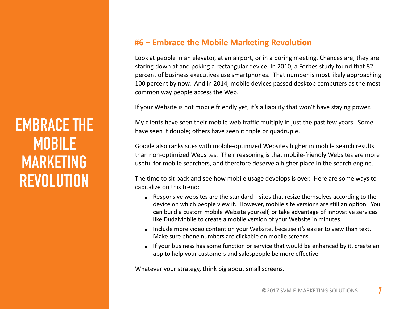### **EMBRACE THE MOBILE MARKETING REVOLUTION**

### **#6 – Embrace the Mobile Marketing Revolution**

Look at people in an elevator, at an airport, or in a boring meeting. Chances are, they are staring down at and poking a rectangular device. In 2010, a Forbes study found that 82 percent of business executives use smartphones. That number is most likely approaching 100 percent by now. And in 2014, mobile devices passed desktop computers as the most common way people access the Web.

If your Website is not mobile friendly yet, it's a liability that won't have staying power.

My clients have seen their mobile web traffic multiply in just the past few years. Some have seen it double; others have seen it triple or quadruple.

Google also ranks sites with mobile-optimized Websites higher in mobile search results than non-optimized Websites. Their reasoning is that mobile-friendly Websites are more useful for mobile searchers, and therefore deserve a higher place in the search engine.

The time to sit back and see how mobile usage develops is over. Here are some ways to capitalize on this trend:

- Responsive websites are the standard—sites that resize themselves according to the device on which people view it. However, mobile site versions are still an option. You can build a custom mobile Website yourself, or take advantage of innovative services like DudaMobile to create a mobile version of your Website in minutes.
- Include more video content on your Website, because it's easier to view than text. Make sure phone numbers are clickable on mobile screens.
- **EXECT** If your business has some function or service that would be enhanced by it, create an app to help your customers and salespeople be more effective

Whatever your strategy, think big about small screens.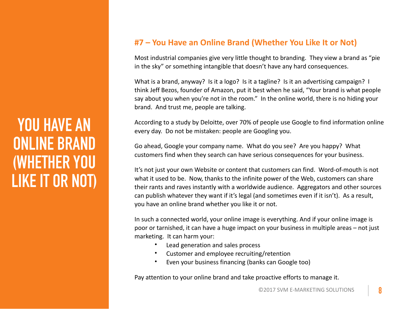### **YOU HAVE AN ONLINE BRAND (WHETHER YOU LIKE IT OR NOT)**

### **#7** – You Have an Online Brand (Whether You Like It or Not)

Most industrial companies give very little thought to branding. They view a brand as "pie in the sky" or something intangible that doesn't have any hard consequences.

What is a brand, anyway? Is it a logo? Is it a tagline? Is it an advertising campaign? I think Jeff Bezos, founder of Amazon, put it best when he said, "Your brand is what people say about you when you're not in the room." In the online world, there is no hiding your brand. And trust me, people are talking.

According to a study by Deloitte, over 70% of people use Google to find information online every day. Do not be mistaken: people are Googling you.

Go ahead, Google your company name. What do you see? Are you happy? What customers find when they search can have serious consequences for your business.

It's not just your own Website or content that customers can find. Word-of-mouth is not what it used to be. Now, thanks to the infinite power of the Web, customers can share their rants and raves instantly with a worldwide audience. Aggregators and other sources can publish whatever they want if it's legal (and sometimes even if it isn't). As a result, you have an online brand whether you like it or not.

In such a connected world, your online image is everything. And if your online image is poor or tarnished, it can have a huge impact on your business in multiple areas – not just marketing. It can harm your:

- Lead generation and sales process
- Customer and employee recruiting/retention
- Even your business financing (banks can Google too)

Pay attention to your online brand and take proactive efforts to manage it.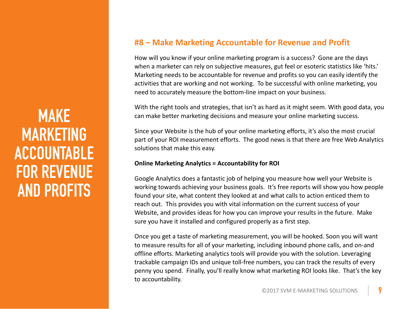### **MAKE MARKETING ACCOUNTABLE FOR REVENUE AND PROFITS**

#### **#8 – Make Marketing Accountable for Revenue and Profit**

How will you know if your online marketing program is a success? Gone are the days when a marketer can rely on subjective measures, gut feel or esoteric statistics like 'hits.' Marketing needs to be accountable for revenue and profits so you can easily identify the activities that are working and not working. To be successful with online marketing, you need to accurately measure the bottom-line impact on your business.

With the right tools and strategies, that isn't as hard as it might seem. With good data, you can make better marketing decisions and measure your online marketing success.

Since your Website is the hub of your online marketing efforts, it's also the most crucial part of your ROI measurement efforts. The good news is that there are free Web Analytics solutions that make this easy.

#### **Online Marketing Analytics = Accountability for ROI**

Google Analytics does a fantastic job of helping you measure how well your Website is working towards achieving your business goals. It's free reports will show you how people found your site, what content they looked at and what calls to action enticed them to reach out. This provides you with vital information on the current success of your Website, and provides ideas for how you can improve your results in the future. Make sure you have it installed and configured properly as a first step.

Once you get a taste of marketing measurement, you will be hooked. Soon you will want to measure results for all of your marketing, including inbound phone calls, and on-and offline efforts. Marketing analytics tools will provide you with the solution. Leveraging trackable campaign IDs and unique toll-free numbers, you can track the results of every penny you spend. Finally, you'll really know what marketing ROI looks like. That's the key to accountability.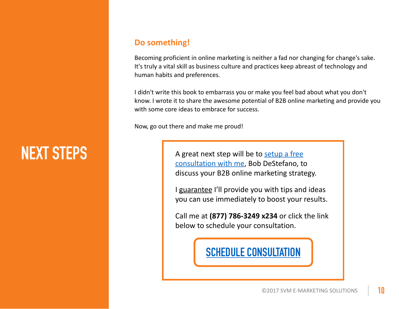## **NEXT STEPS**

#### **Do something!**

Becoming proficient in online marketing is neither a fad nor changing for change's sake. It's truly a vital skill as business culture and practices keep abreast of technology and human habits and preferences.

I didn't write this book to embarrass you or make you feel bad about what you don't know. I wrote it to share the awesome potential of B2B online marketing and provide you with some core ideas to embrace for success.

Now, go out there and make me proud!

A great next step will be to setup a free consultation with me, Bob DeStefano, to discuss your B2B online marketing strategy.

I guarantee I'll provide you with tips and ideas you can use immediately to boost your results.

Call me at (877) 786-3249 x234 or click the link below to schedule your consultation.

### **SCHEDULE CONSULTATION**